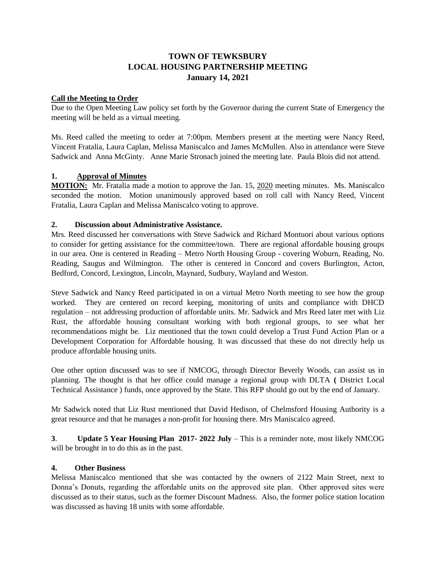# **TOWN OF TEWKSBURY LOCAL HOUSING PARTNERSHIP MEETING January 14, 2021**

### **Call the Meeting to Order**

Due to the Open Meeting Law policy set forth by the Governor during the current State of Emergency the meeting will be held as a virtual meeting.

Ms. Reed called the meeting to order at 7:00pm. Members present at the meeting were Nancy Reed, Vincent Fratalia, Laura Caplan, Melissa Maniscalco and James McMullen. Also in attendance were Steve Sadwick and Anna McGinty. Anne Marie Stronach joined the meeting late. Paula Blois did not attend.

## **1. Approval of Minutes**

**MOTION:** Mr. Fratalia made a motion to approve the Jan. 15, 2020 meeting minutes. Ms. Maniscalco seconded the motion. Motion unanimously approved based on roll call with Nancy Reed, Vincent Fratalia, Laura Caplan and Melissa Maniscalco voting to approve.

#### **2. Discussion about Administrative Assistance.**

Mrs. Reed discussed her conversations with Steve Sadwick and Richard Montuori about various options to consider for getting assistance for the committee/town. There are regional affordable housing groups in our area. One is centered in Reading – Metro North Housing Group - covering Woburn, Reading, No. Reading, Saugus and Wilmington. The other is centered in Concord and covers Burlington, Acton, Bedford, Concord, Lexington, Lincoln, Maynard, Sudbury, Wayland and Weston.

Steve Sadwick and Nancy Reed participated in on a virtual Metro North meeting to see how the group worked. They are centered on record keeping, monitoring of units and compliance with DHCD regulation – not addressing production of affordable units. Mr. Sadwick and Mrs Reed later met with Liz Rust, the affordable housing consultant working with both regional groups, to see what her recommendations might be. Liz mentioned that the town could develop a Trust Fund Action Plan or a Development Corporation for Affordable housing. It was discussed that these do not directly help us produce affordable housing units.

One other option discussed was to see if NMCOG, through Director Beverly Woods, can assist us in planning. The thought is that her office could manage a regional group with DLTA **(** District Local Technical Assistance ) funds, once approved by the State. This RFP should go out by the end of January.

Mr Sadwick noted that Liz Rust mentioned that David Hedison, of Chelmsford Housing Authority is a great resource and that he manages a non-profit for housing there. Mrs Maniscalco agreed.

**3**. **Update 5 Year Housing Plan 2017- 2022 July** – This is a reminder note, most likely NMCOG will be brought in to do this as in the past.

## **4. Other Business**

Melissa Maniscalco mentioned that she was contacted by the owners of 2122 Main Street, next to Donna's Donuts, regarding the affordable units on the approved site plan. Other approved sites were discussed as to their status, such as the former Discount Madness. Also, the former police station location was discussed as having 18 units with some affordable.